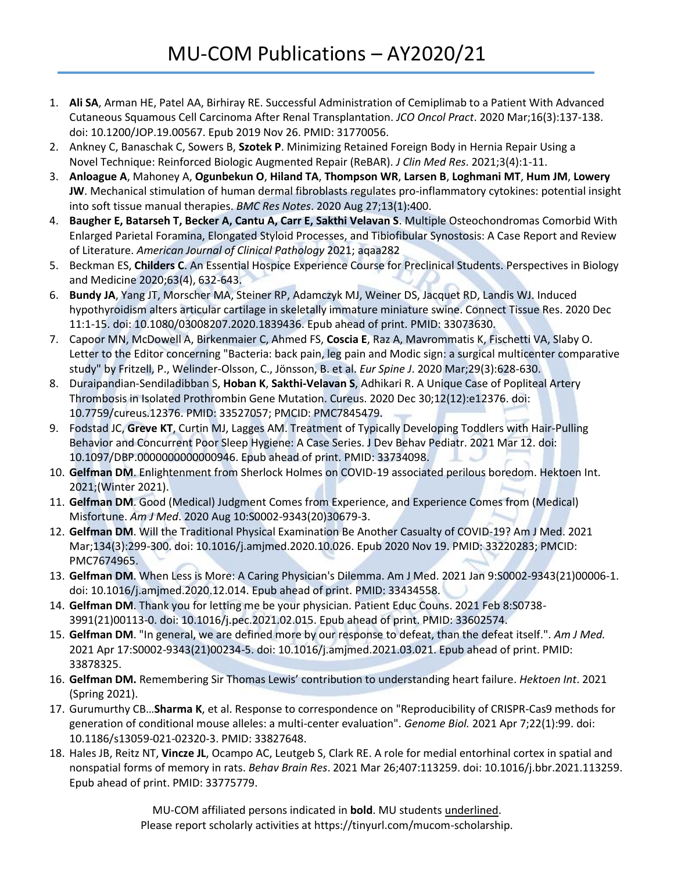- 1. **Ali SA**, Arman HE, Patel AA, Birhiray RE. Successful Administration of Cemiplimab to a Patient With Advanced Cutaneous Squamous Cell Carcinoma After Renal Transplantation. *JCO Oncol Pract*. 2020 Mar;16(3):137-138. doi: 10.1200/JOP.19.00567. Epub 2019 Nov 26. PMID: 31770056.
- 2. Ankney C, Banaschak C, Sowers B, **Szotek P**. Minimizing Retained Foreign Body in Hernia Repair Using a Novel Technique: Reinforced Biologic Augmented Repair (ReBAR). *J Clin Med Res*. 2021;3(4):1-11.
- 3. **Anloague A**, Mahoney A, **Ogunbekun O**, **Hiland TA**, **Thompson WR**, **Larsen B**, **Loghmani MT**, **Hum JM**, **Lowery JW**. Mechanical stimulation of human dermal fibroblasts regulates pro-inflammatory cytokines: potential insight into soft tissue manual therapies. *BMC Res Notes*. 2020 Aug 27;13(1):400.
- 4. **Baugher E, Batarseh T, Becker A, Cantu A, Carr E, Sakthi Velavan S**. Multiple Osteochondromas Comorbid With Enlarged Parietal Foramina, Elongated Styloid Processes, and Tibiofibular Synostosis: A Case Report and Review of Literature. *American Journal of Clinical Pathology* 2021; aqaa282
- 5. Beckman ES, **Childers C**. An Essential Hospice Experience Course for Preclinical Students. Perspectives in Biology and Medicine 2020;63(4), 632-643.
- 6. **Bundy JA**, Yang JT, Morscher MA, Steiner RP, Adamczyk MJ, Weiner DS, Jacquet RD, Landis WJ. Induced hypothyroidism alters articular cartilage in skeletally immature miniature swine. Connect Tissue Res. 2020 Dec 11:1-15. doi: 10.1080/03008207.2020.1839436. Epub ahead of print. PMID: 33073630.
- 7. Capoor MN, McDowell A, Birkenmaier C, Ahmed FS, **Coscia E**, Raz A, Mavrommatis K, Fischetti VA, Slaby O. Letter to the Editor concerning "Bacteria: back pain, leg pain and Modic sign: a surgical multicenter comparative study" by Fritzell, P., Welinder-Olsson, C., Jönsson, B. et al. *Eur Spine J*. 2020 Mar;29(3):628-630.
- 8. Duraipandian-Sendiladibban S, **Hoban K**, **Sakthi-Velavan S**, Adhikari R. A Unique Case of Popliteal Artery Thrombosis in Isolated Prothrombin Gene Mutation. Cureus. 2020 Dec 30;12(12):e12376. doi: 10.7759/cureus.12376. PMID: 33527057; PMCID: PMC7845479.
- 9. Fodstad JC, **Greve KT**, Curtin MJ, Lagges AM. Treatment of Typically Developing Toddlers with Hair-Pulling Behavior and Concurrent Poor Sleep Hygiene: A Case Series. J Dev Behav Pediatr. 2021 Mar 12. doi: 10.1097/DBP.0000000000000946. Epub ahead of print. PMID: 33734098.
- 10. **Gelfman DM**. Enlightenment from Sherlock Holmes on COVID-19 associated perilous boredom. Hektoen Int. 2021;(Winter 2021).
- 11. **Gelfman DM**. Good (Medical) Judgment Comes from Experience, and Experience Comes from (Medical) Misfortune. *Am J Med*. 2020 Aug 10:S0002-9343(20)30679-3.
- 12. **Gelfman DM**. Will the Traditional Physical Examination Be Another Casualty of COVID-19? Am J Med. 2021 Mar;134(3):299-300. doi: 10.1016/j.amjmed.2020.10.026. Epub 2020 Nov 19. PMID: 33220283; PMCID: PMC7674965.
- 13. **Gelfman DM**. When Less is More: A Caring Physician's Dilemma. Am J Med. 2021 Jan 9:S0002-9343(21)00006-1. doi: 10.1016/j.amjmed.2020.12.014. Epub ahead of print. PMID: 33434558.
- 14. **Gelfman DM**. Thank you for letting me be your physician. Patient Educ Couns. 2021 Feb 8:S0738- 3991(21)00113-0. doi: 10.1016/j.pec.2021.02.015. Epub ahead of print. PMID: 33602574.
- 15. **Gelfman DM**. "In general, we are defined more by our response to defeat, than the defeat itself.". *Am J Med.* 2021 Apr 17:S0002-9343(21)00234-5. doi: 10.1016/j.amjmed.2021.03.021. Epub ahead of print. PMID: 33878325.
- 16. **Gelfman DM.** Remembering Sir Thomas Lewis' contribution to understanding heart failure. *Hektoen Int*. 2021 (Spring 2021).
- 17. Gurumurthy CB…**Sharma K**, et al. Response to correspondence on "Reproducibility of CRISPR-Cas9 methods for generation of conditional mouse alleles: a multi-center evaluation". *Genome Biol.* 2021 Apr 7;22(1):99. doi: 10.1186/s13059-021-02320-3. PMID: 33827648.
- 18. Hales JB, Reitz NT, **Vincze JL**, Ocampo AC, Leutgeb S, Clark RE. A role for medial entorhinal cortex in spatial and nonspatial forms of memory in rats. *Behav Brain Res*. 2021 Mar 26;407:113259. doi: 10.1016/j.bbr.2021.113259. Epub ahead of print. PMID: 33775779.

MU-COM affiliated persons indicated in **bold**. MU students underlined. Please report scholarly activities at https://tinyurl.com/mucom-scholarship.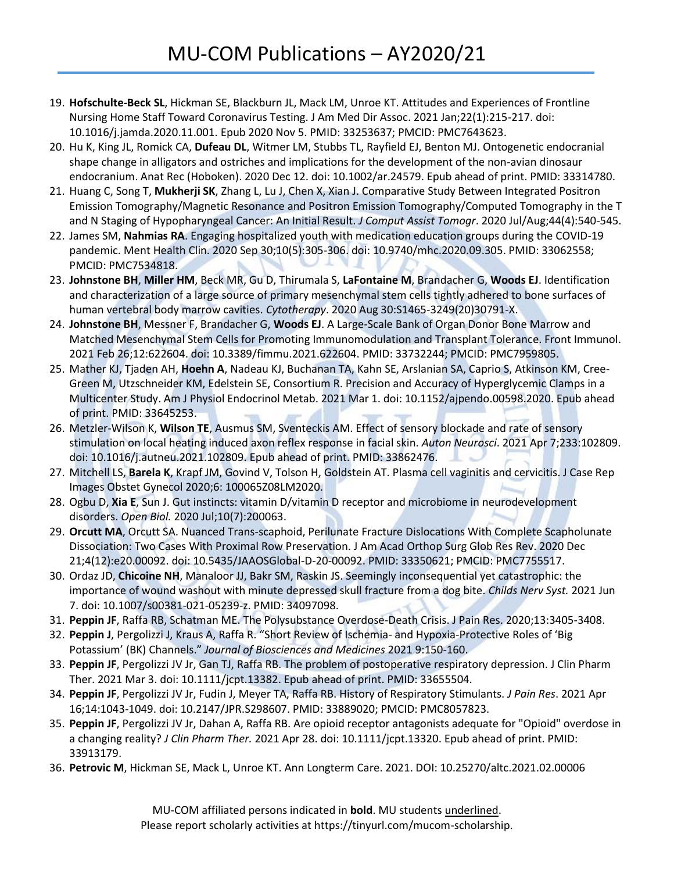- 19. **Hofschulte-Beck SL**, Hickman SE, Blackburn JL, Mack LM, Unroe KT. Attitudes and Experiences of Frontline Nursing Home Staff Toward Coronavirus Testing. J Am Med Dir Assoc. 2021 Jan;22(1):215-217. doi: 10.1016/j.jamda.2020.11.001. Epub 2020 Nov 5. PMID: 33253637; PMCID: PMC7643623.
- 20. Hu K, King JL, Romick CA, **Dufeau DL**, Witmer LM, Stubbs TL, Rayfield EJ, Benton MJ. Ontogenetic endocranial shape change in alligators and ostriches and implications for the development of the non-avian dinosaur endocranium. Anat Rec (Hoboken). 2020 Dec 12. doi: 10.1002/ar.24579. Epub ahead of print. PMID: 33314780.
- 21. Huang C, Song T, **Mukherji SK**, Zhang L, Lu J, Chen X, Xian J. Comparative Study Between Integrated Positron Emission Tomography/Magnetic Resonance and Positron Emission Tomography/Computed Tomography in the T and N Staging of Hypopharyngeal Cancer: An Initial Result. *J Comput Assist Tomogr*. 2020 Jul/Aug;44(4):540-545.
- 22. James SM, **Nahmias RA**. Engaging hospitalized youth with medication education groups during the COVID-19 pandemic. Ment Health Clin. 2020 Sep 30;10(5):305-306. doi: 10.9740/mhc.2020.09.305. PMID: 33062558; PMCID: PMC7534818.
- 23. **Johnstone BH**, **Miller HM**, Beck MR, Gu D, Thirumala S, **LaFontaine M**, Brandacher G, **Woods EJ**. Identification and characterization of a large source of primary mesenchymal stem cells tightly adhered to bone surfaces of human vertebral body marrow cavities. *Cytotherapy*. 2020 Aug 30:S1465-3249(20)30791-X.
- 24. **Johnstone BH**, Messner F, Brandacher G, **Woods EJ**. A Large-Scale Bank of Organ Donor Bone Marrow and Matched Mesenchymal Stem Cells for Promoting Immunomodulation and Transplant Tolerance. Front Immunol. 2021 Feb 26;12:622604. doi: 10.3389/fimmu.2021.622604. PMID: 33732244; PMCID: PMC7959805.
- 25. Mather KJ, Tjaden AH, **Hoehn A**, Nadeau KJ, Buchanan TA, Kahn SE, Arslanian SA, Caprio S, Atkinson KM, Cree-Green M, Utzschneider KM, Edelstein SE, Consortium R. Precision and Accuracy of Hyperglycemic Clamps in a Multicenter Study. Am J Physiol Endocrinol Metab. 2021 Mar 1. doi: 10.1152/ajpendo.00598.2020. Epub ahead of print. PMID: 33645253.
- 26. Metzler-Wilson K, **Wilson TE**, Ausmus SM, Sventeckis AM. Effect of sensory blockade and rate of sensory stimulation on local heating induced axon reflex response in facial skin. *Auton Neurosci*. 2021 Apr 7;233:102809. doi: 10.1016/j.autneu.2021.102809. Epub ahead of print. PMID: 33862476.
- 27. Mitchell LS, **Barela K**, Krapf JM, Govind V, Tolson H, Goldstein AT. Plasma cell vaginitis and cervicitis. J Case Rep Images Obstet Gynecol 2020;6: 100065Z08LM2020.
- 28. Ogbu D, **Xia E**, Sun J. Gut instincts: vitamin D/vitamin D receptor and microbiome in neurodevelopment disorders. *Open Biol.* 2020 Jul;10(7):200063.
- 29. **Orcutt MA**, Orcutt SA. Nuanced Trans-scaphoid, Perilunate Fracture Dislocations With Complete Scapholunate Dissociation: Two Cases With Proximal Row Preservation. J Am Acad Orthop Surg Glob Res Rev. 2020 Dec 21;4(12):e20.00092. doi: 10.5435/JAAOSGlobal-D-20-00092. PMID: 33350621; PMCID: PMC7755517.
- 30. Ordaz JD, **Chicoine NH**, Manaloor JJ, Bakr SM, Raskin JS. Seemingly inconsequential yet catastrophic: the importance of wound washout with minute depressed skull fracture from a dog bite. *Childs Nerv Syst.* 2021 Jun 7. doi: 10.1007/s00381-021-05239-z. PMID: 34097098.
- 31. **Peppin JF**, Raffa RB, Schatman ME. The Polysubstance Overdose-Death Crisis. J Pain Res. 2020;13:3405-3408.
- 32. **Peppin J**, Pergolizzi J, Kraus A, Raffa R. "Short Review of Ischemia- and Hypoxia-Protective Roles of 'Big Potassium' (BK) Channels." *Journal of Biosciences and Medicines* 2021 9:150-160.
- 33. **Peppin JF**, Pergolizzi JV Jr, Gan TJ, Raffa RB. The problem of postoperative respiratory depression. J Clin Pharm Ther. 2021 Mar 3. doi: 10.1111/jcpt.13382. Epub ahead of print. PMID: 33655504.
- 34. **Peppin JF**, Pergolizzi JV Jr, Fudin J, Meyer TA, Raffa RB. History of Respiratory Stimulants. *J Pain Res*. 2021 Apr 16;14:1043-1049. doi: 10.2147/JPR.S298607. PMID: 33889020; PMCID: PMC8057823.
- 35. **Peppin JF**, Pergolizzi JV Jr, Dahan A, Raffa RB. Are opioid receptor antagonists adequate for "Opioid" overdose in a changing reality? *J Clin Pharm Ther.* 2021 Apr 28. doi: 10.1111/jcpt.13320. Epub ahead of print. PMID: 33913179.
- 36. **Petrovic M**, Hickman SE, Mack L, Unroe KT. Ann Longterm Care. 2021. DOI: 10.25270/altc.2021.02.00006

MU-COM affiliated persons indicated in **bold**. MU students underlined. Please report scholarly activities at https://tinyurl.com/mucom-scholarship.